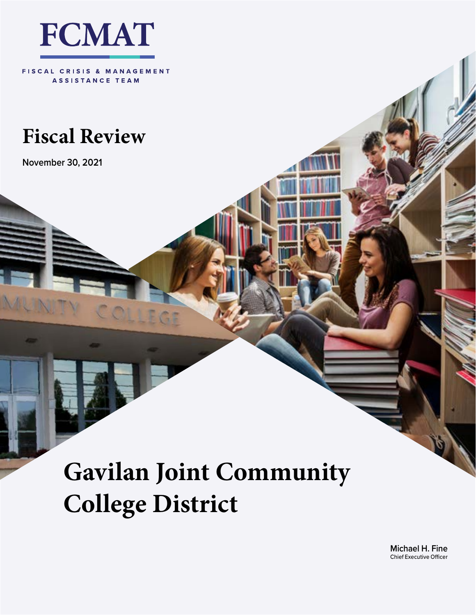

FISCAL CRISIS & MANAGEMENT ASSISTANCE TEAM

## **Fiscal Review**

**November 30, 2021**

# **Gavilan Joint Community College District**

**Michael H. Fine** Chief Executive Officer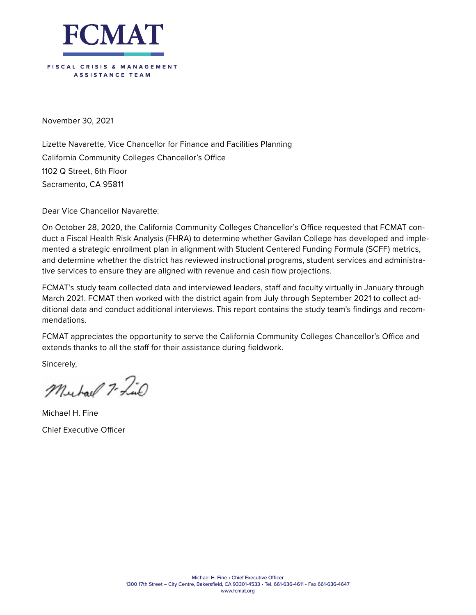

November 30, 2021

Lizette Navarette, Vice Chancellor for Finance and Facilities Planning California Community Colleges Chancellor's Office 1102 Q Street, 6th Floor Sacramento, CA 95811

Dear Vice Chancellor Navarette:

On October 28, 2020, the California Community Colleges Chancellor's Office requested that FCMAT conduct a Fiscal Health Risk Analysis (FHRA) to determine whether Gavilan College has developed and implemented a strategic enrollment plan in alignment with Student Centered Funding Formula (SCFF) metrics, and determine whether the district has reviewed instructional programs, student services and administrative services to ensure they are aligned with revenue and cash flow projections.

FCMAT's study team collected data and interviewed leaders, staff and faculty virtually in January through March 2021. FCMAT then worked with the district again from July through September 2021 to collect additional data and conduct additional interviews. This report contains the study team's findings and recommendations.

FCMAT appreciates the opportunity to serve the California Community Colleges Chancellor's Office and extends thanks to all the staff for their assistance during fieldwork.

Sincerely,

Murhaul 7- Find

Michael H. Fine Chief Executive Officer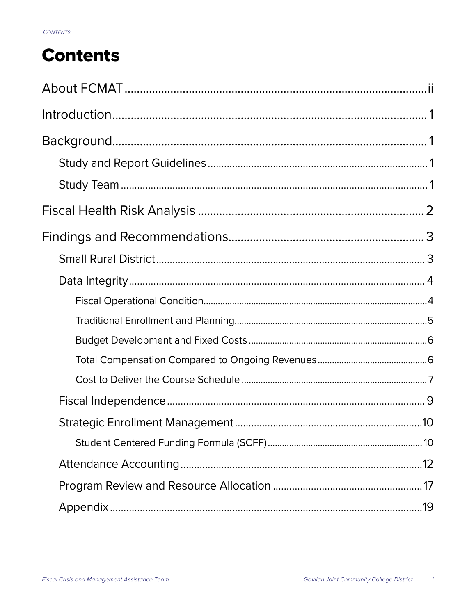## **Contents**

 $\overline{\phantom{a}}$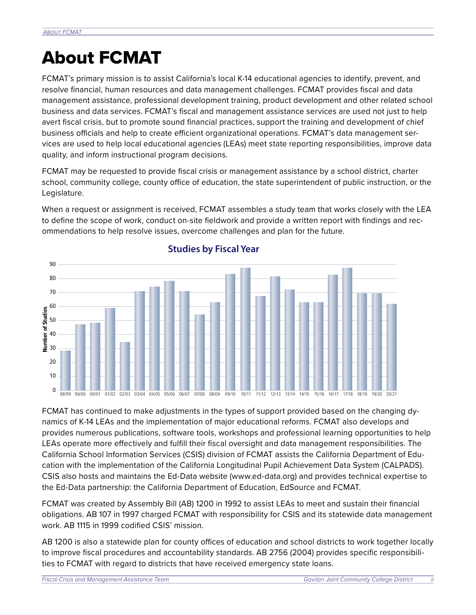## About FCMAT

FCMAT's primary mission is to assist California's local K-14 educational agencies to identify, prevent, and resolve financial, human resources and data management challenges. FCMAT provides fiscal and data management assistance, professional development training, product development and other related school business and data services. FCMAT's fiscal and management assistance services are used not just to help avert fiscal crisis, but to promote sound financial practices, support the training and development of chief business officials and help to create efficient organizational operations. FCMAT's data management services are used to help local educational agencies (LEAs) meet state reporting responsibilities, improve data quality, and inform instructional program decisions.

FCMAT may be requested to provide fiscal crisis or management assistance by a school district, charter school, community college, county office of education, the state superintendent of public instruction, or the Legislature.

When a request or assignment is received, FCMAT assembles a study team that works closely with the LEA to define the scope of work, conduct on-site fieldwork and provide a written report with findings and recommendations to help resolve issues, overcome challenges and plan for the future.



#### **Studies by Fiscal Year**

FCMAT has continued to make adjustments in the types of support provided based on the changing dynamics of K-14 LEAs and the implementation of major educational reforms. FCMAT also develops and provides numerous publications, software tools, workshops and professional learning opportunities to help LEAs operate more effectively and fulfill their fiscal oversight and data management responsibilities. The California School Information Services (CSIS) division of FCMAT assists the California Department of Education with the implementation of the California Longitudinal Pupil Achievement Data System (CALPADS). CSIS also hosts and maintains the Ed-Data website (www.ed-data.org) and provides technical expertise to the Ed-Data partnership: the California Department of Education, EdSource and FCMAT.

FCMAT was created by Assembly Bill (AB) 1200 in 1992 to assist LEAs to meet and sustain their financial obligations. AB 107 in 1997 charged FCMAT with responsibility for CSIS and its statewide data management work. AB 1115 in 1999 codified CSIS' mission.

AB 1200 is also a statewide plan for county offices of education and school districts to work together locally to improve fiscal procedures and accountability standards. AB 2756 (2004) provides specific responsibilities to FCMAT with regard to districts that have received emergency state loans.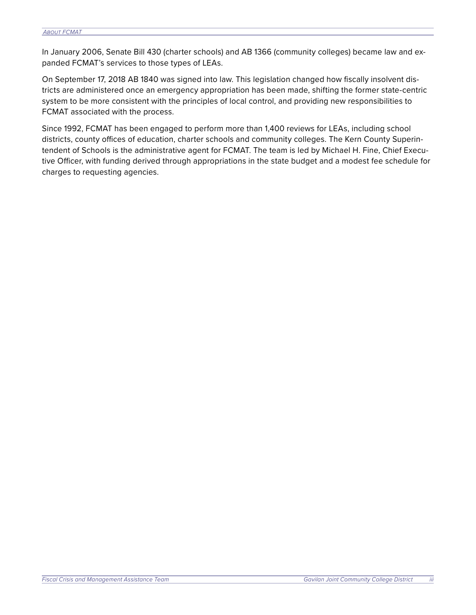In January 2006, Senate Bill 430 (charter schools) and AB 1366 (community colleges) became law and expanded FCMAT's services to those types of LEAs.

On September 17, 2018 AB 1840 was signed into law. This legislation changed how fiscally insolvent districts are administered once an emergency appropriation has been made, shifting the former state-centric system to be more consistent with the principles of local control, and providing new responsibilities to FCMAT associated with the process.

Since 1992, FCMAT has been engaged to perform more than 1,400 reviews for LEAs, including school districts, county offices of education, charter schools and community colleges. The Kern County Superintendent of Schools is the administrative agent for FCMAT. The team is led by Michael H. Fine, Chief Executive Officer, with funding derived through appropriations in the state budget and a modest fee schedule for charges to requesting agencies.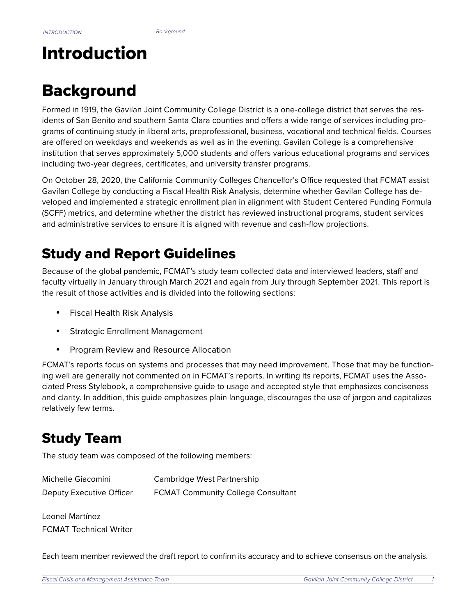## Introduction

## **Background**

Formed in 1919, the Gavilan Joint Community College District is a one-college district that serves the residents of San Benito and southern Santa Clara counties and offers a wide range of services including programs of continuing study in liberal arts, preprofessional, business, vocational and technical fields. Courses are offered on weekdays and weekends as well as in the evening. Gavilan College is a comprehensive institution that serves approximately 5,000 students and offers various educational programs and services including two-year degrees, certificates, and university transfer programs.

On October 28, 2020, the California Community Colleges Chancellor's Office requested that FCMAT assist Gavilan College by conducting a Fiscal Health Risk Analysis, determine whether Gavilan College has developed and implemented a strategic enrollment plan in alignment with Student Centered Funding Formula (SCFF) metrics, and determine whether the district has reviewed instructional programs, student services and administrative services to ensure it is aligned with revenue and cash-flow projections.

### Study and Report Guidelines

Because of the global pandemic, FCMAT's study team collected data and interviewed leaders, staff and faculty virtually in January through March 2021 and again from July through September 2021. This report is the result of those activities and is divided into the following sections:

- Fiscal Health Risk Analysis
- Strategic Enrollment Management
- Program Review and Resource Allocation

FCMAT's reports focus on systems and processes that may need improvement. Those that may be functioning well are generally not commented on in FCMAT's reports. In writing its reports, FCMAT uses the Associated Press Stylebook, a comprehensive guide to usage and accepted style that emphasizes conciseness and clarity. In addition, this guide emphasizes plain language, discourages the use of jargon and capitalizes relatively few terms.

### Study Team

The study team was composed of the following members:

| Michelle Giacomini       | Cambridge West Partnership                |
|--------------------------|-------------------------------------------|
| Deputy Executive Officer | <b>FCMAT Community College Consultant</b> |

Leonel Martínez FCMAT Technical Writer

Each team member reviewed the draft report to confirm its accuracy and to achieve consensus on the analysis.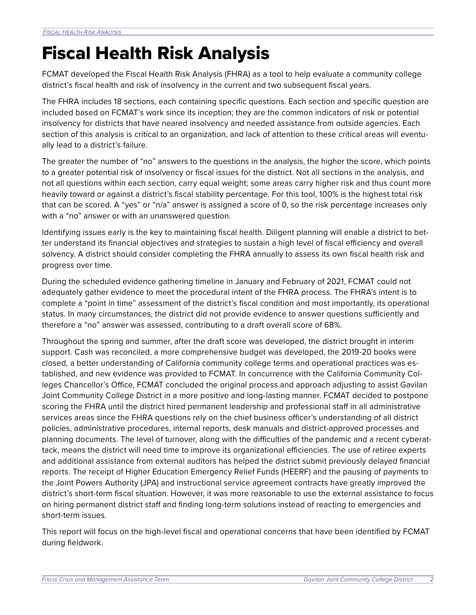## Fiscal Health Risk Analysis

FCMAT developed the Fiscal Health Risk Analysis (FHRA) as a tool to help evaluate a community college district's fiscal health and risk of insolvency in the current and two subsequent fiscal years.

The FHRA includes 18 sections, each containing specific questions. Each section and specific question are included based on FCMAT's work since its inception; they are the common indicators of risk or potential insolvency for districts that have neared insolvency and needed assistance from outside agencies. Each section of this analysis is critical to an organization, and lack of attention to these critical areas will eventually lead to a district's failure.

The greater the number of "no" answers to the questions in the analysis, the higher the score, which points to a greater potential risk of insolvency or fiscal issues for the district. Not all sections in the analysis, and not all questions within each section, carry equal weight; some areas carry higher risk and thus count more heavily toward or against a district's fiscal stability percentage. For this tool, 100% is the highest total risk that can be scored. A "yes" or "n/a" answer is assigned a score of 0, so the risk percentage increases only with a "no" answer or with an unanswered question.

Identifying issues early is the key to maintaining fiscal health. Diligent planning will enable a district to better understand its financial objectives and strategies to sustain a high level of fiscal efficiency and overall solvency. A district should consider completing the FHRA annually to assess its own fiscal health risk and progress over time.

During the scheduled evidence gathering timeline in January and February of 2021, FCMAT could not adequately gather evidence to meet the procedural intent of the FHRA process. The FHRA's intent is to complete a "point in time" assessment of the district's fiscal condition and most importantly, its operational status. In many circumstances, the district did not provide evidence to answer questions sufficiently and therefore a "no" answer was assessed, contributing to a draft overall score of 68%.

Throughout the spring and summer, after the draft score was developed, the district brought in interim support. Cash was reconciled, a more comprehensive budget was developed, the 2019-20 books were closed, a better understanding of California community college terms and operational practices was established, and new evidence was provided to FCMAT. In concurrence with the California Community Colleges Chancellor's Office, FCMAT concluded the original process and approach adjusting to assist Gavilan Joint Community College District in a more positive and long-lasting manner. FCMAT decided to postpone scoring the FHRA until the district hired permanent leadership and professional staff in all administrative services areas since the FHRA questions rely on the chief business officer's understanding of all district policies, administrative procedures, internal reports, desk manuals and district-approved processes and planning documents. The level of turnover, along with the difficulties of the pandemic and a recent cyberattack, means the district will need time to improve its organizational efficiencies. The use of retiree experts and additional assistance from external auditors has helped the district submit previously delayed financial reports. The receipt of Higher Education Emergency Relief Funds (HEERF) and the pausing of payments to the Joint Powers Authority (JPA) and instructional service agreement contracts have greatly improved the district's short-term fiscal situation. However, it was more reasonable to use the external assistance to focus on hiring permanent district staff and finding long-term solutions instead of reacting to emergencies and short-term issues.

This report will focus on the high-level fiscal and operational concerns that have been identified by FCMAT during fieldwork.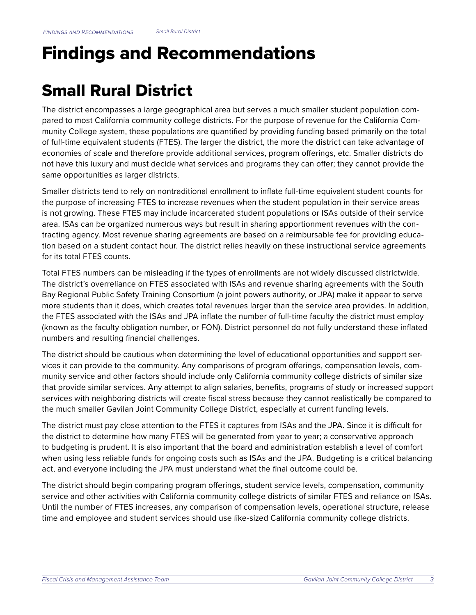## Findings and Recommendations

## Small Rural District

The district encompasses a large geographical area but serves a much smaller student population compared to most California community college districts. For the purpose of revenue for the California Community College system, these populations are quantified by providing funding based primarily on the total of full-time equivalent students (FTES). The larger the district, the more the district can take advantage of economies of scale and therefore provide additional services, program offerings, etc. Smaller districts do not have this luxury and must decide what services and programs they can offer; they cannot provide the same opportunities as larger districts.

Smaller districts tend to rely on nontraditional enrollment to inflate full-time equivalent student counts for the purpose of increasing FTES to increase revenues when the student population in their service areas is not growing. These FTES may include incarcerated student populations or ISAs outside of their service area. ISAs can be organized numerous ways but result in sharing apportionment revenues with the contracting agency. Most revenue sharing agreements are based on a reimbursable fee for providing education based on a student contact hour. The district relies heavily on these instructional service agreements for its total FTES counts.

Total FTES numbers can be misleading if the types of enrollments are not widely discussed districtwide. The district's overreliance on FTES associated with ISAs and revenue sharing agreements with the South Bay Regional Public Safety Training Consortium (a joint powers authority, or JPA) make it appear to serve more students than it does, which creates total revenues larger than the service area provides. In addition, the FTES associated with the ISAs and JPA inflate the number of full-time faculty the district must employ (known as the faculty obligation number, or FON). District personnel do not fully understand these inflated numbers and resulting financial challenges.

The district should be cautious when determining the level of educational opportunities and support services it can provide to the community. Any comparisons of program offerings, compensation levels, community service and other factors should include only California community college districts of similar size that provide similar services. Any attempt to align salaries, benefits, programs of study or increased support services with neighboring districts will create fiscal stress because they cannot realistically be compared to the much smaller Gavilan Joint Community College District, especially at current funding levels.

The district must pay close attention to the FTES it captures from ISAs and the JPA. Since it is difficult for the district to determine how many FTES will be generated from year to year; a conservative approach to budgeting is prudent. It is also important that the board and administration establish a level of comfort when using less reliable funds for ongoing costs such as ISAs and the JPA. Budgeting is a critical balancing act, and everyone including the JPA must understand what the final outcome could be.

The district should begin comparing program offerings, student service levels, compensation, community service and other activities with California community college districts of similar FTES and reliance on ISAs. Until the number of FTES increases, any comparison of compensation levels, operational structure, release time and employee and student services should use like-sized California community college districts.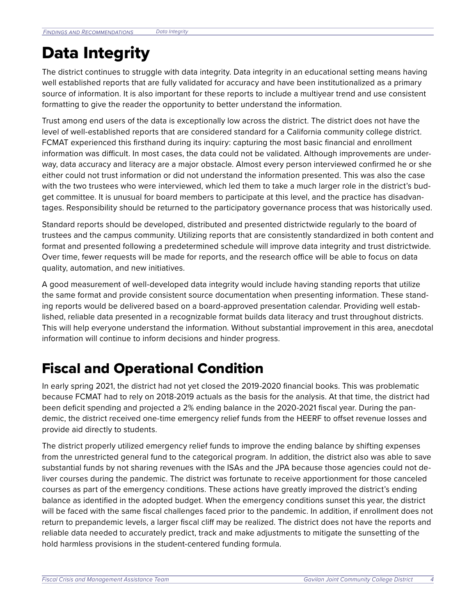## Data Integrity

The district continues to struggle with data integrity. Data integrity in an educational setting means having well established reports that are fully validated for accuracy and have been institutionalized as a primary source of information. It is also important for these reports to include a multiyear trend and use consistent formatting to give the reader the opportunity to better understand the information.

Trust among end users of the data is exceptionally low across the district. The district does not have the level of well-established reports that are considered standard for a California community college district. FCMAT experienced this firsthand during its inquiry: capturing the most basic financial and enrollment information was difficult. In most cases, the data could not be validated. Although improvements are underway, data accuracy and literacy are a major obstacle. Almost every person interviewed confirmed he or she either could not trust information or did not understand the information presented. This was also the case with the two trustees who were interviewed, which led them to take a much larger role in the district's budget committee. It is unusual for board members to participate at this level, and the practice has disadvantages. Responsibility should be returned to the participatory governance process that was historically used.

Standard reports should be developed, distributed and presented districtwide regularly to the board of trustees and the campus community. Utilizing reports that are consistently standardized in both content and format and presented following a predetermined schedule will improve data integrity and trust districtwide. Over time, fewer requests will be made for reports, and the research office will be able to focus on data quality, automation, and new initiatives.

A good measurement of well-developed data integrity would include having standing reports that utilize the same format and provide consistent source documentation when presenting information. These standing reports would be delivered based on a board-approved presentation calendar. Providing well established, reliable data presented in a recognizable format builds data literacy and trust throughout districts. This will help everyone understand the information. Without substantial improvement in this area, anecdotal information will continue to inform decisions and hinder progress.

## Fiscal and Operational Condition

In early spring 2021, the district had not yet closed the 2019-2020 financial books. This was problematic because FCMAT had to rely on 2018-2019 actuals as the basis for the analysis. At that time, the district had been deficit spending and projected a 2% ending balance in the 2020-2021 fiscal year. During the pandemic, the district received one-time emergency relief funds from the HEERF to offset revenue losses and provide aid directly to students.

The district properly utilized emergency relief funds to improve the ending balance by shifting expenses from the unrestricted general fund to the categorical program. In addition, the district also was able to save substantial funds by not sharing revenues with the ISAs and the JPA because those agencies could not deliver courses during the pandemic. The district was fortunate to receive apportionment for those canceled courses as part of the emergency conditions. These actions have greatly improved the district's ending balance as identified in the adopted budget. When the emergency conditions sunset this year, the district will be faced with the same fiscal challenges faced prior to the pandemic. In addition, if enrollment does not return to prepandemic levels, a larger fiscal cliff may be realized. The district does not have the reports and reliable data needed to accurately predict, track and make adjustments to mitigate the sunsetting of the hold harmless provisions in the student-centered funding formula.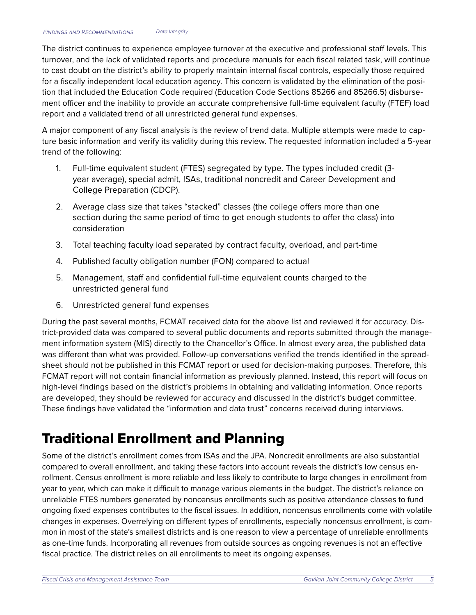The district continues to experience employee turnover at the executive and professional staff levels. This turnover, and the lack of validated reports and procedure manuals for each fiscal related task, will continue to cast doubt on the district's ability to properly maintain internal fiscal controls, especially those required for a fiscally independent local education agency. This concern is validated by the elimination of the position that included the Education Code required (Education Code Sections 85266 and 85266.5) disbursement officer and the inability to provide an accurate comprehensive full-time equivalent faculty (FTEF) load report and a validated trend of all unrestricted general fund expenses.

A major component of any fiscal analysis is the review of trend data. Multiple attempts were made to capture basic information and verify its validity during this review. The requested information included a 5-year trend of the following:

- 1. Full-time equivalent student (FTES) segregated by type. The types included credit (3 year average), special admit, ISAs, traditional noncredit and Career Development and College Preparation (CDCP).
- 2. Average class size that takes "stacked" classes (the college offers more than one section during the same period of time to get enough students to offer the class) into consideration
- 3. Total teaching faculty load separated by contract faculty, overload, and part-time
- 4. Published faculty obligation number (FON) compared to actual
- 5. Management, staff and confidential full-time equivalent counts charged to the unrestricted general fund
- 6. Unrestricted general fund expenses

During the past several months, FCMAT received data for the above list and reviewed it for accuracy. District-provided data was compared to several public documents and reports submitted through the management information system (MIS) directly to the Chancellor's Office. In almost every area, the published data was different than what was provided. Follow-up conversations verified the trends identified in the spreadsheet should not be published in this FCMAT report or used for decision-making purposes. Therefore, this FCMAT report will not contain financial information as previously planned. Instead, this report will focus on high-level findings based on the district's problems in obtaining and validating information. Once reports are developed, they should be reviewed for accuracy and discussed in the district's budget committee. These findings have validated the "information and data trust" concerns received during interviews.

### Traditional Enrollment and Planning

Some of the district's enrollment comes from ISAs and the JPA. Noncredit enrollments are also substantial compared to overall enrollment, and taking these factors into account reveals the district's low census enrollment. Census enrollment is more reliable and less likely to contribute to large changes in enrollment from year to year, which can make it difficult to manage various elements in the budget. The district's reliance on unreliable FTES numbers generated by noncensus enrollments such as positive attendance classes to fund ongoing fixed expenses contributes to the fiscal issues. In addition, noncensus enrollments come with volatile changes in expenses. Overrelying on different types of enrollments, especially noncensus enrollment, is common in most of the state's smallest districts and is one reason to view a percentage of unreliable enrollments as one-time funds. Incorporating all revenues from outside sources as ongoing revenues is not an effective fiscal practice. The district relies on all enrollments to meet its ongoing expenses.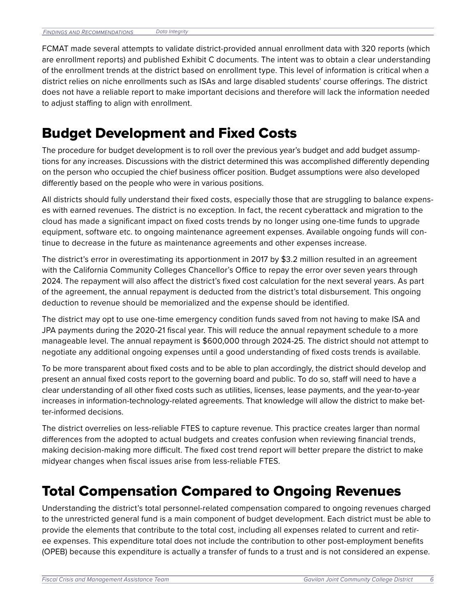FCMAT made several attempts to validate district-provided annual enrollment data with 320 reports (which are enrollment reports) and published Exhibit C documents. The intent was to obtain a clear understanding of the enrollment trends at the district based on enrollment type. This level of information is critical when a district relies on niche enrollments such as ISAs and large disabled students' course offerings. The district does not have a reliable report to make important decisions and therefore will lack the information needed to adjust staffing to align with enrollment.

### Budget Development and Fixed Costs

The procedure for budget development is to roll over the previous year's budget and add budget assumptions for any increases. Discussions with the district determined this was accomplished differently depending on the person who occupied the chief business officer position. Budget assumptions were also developed differently based on the people who were in various positions.

All districts should fully understand their fixed costs, especially those that are struggling to balance expenses with earned revenues. The district is no exception. In fact, the recent cyberattack and migration to the cloud has made a significant impact on fixed costs trends by no longer using one-time funds to upgrade equipment, software etc. to ongoing maintenance agreement expenses. Available ongoing funds will continue to decrease in the future as maintenance agreements and other expenses increase.

The district's error in overestimating its apportionment in 2017 by \$3.2 million resulted in an agreement with the California Community Colleges Chancellor's Office to repay the error over seven years through 2024. The repayment will also affect the district's fixed cost calculation for the next several years. As part of the agreement, the annual repayment is deducted from the district's total disbursement. This ongoing deduction to revenue should be memorialized and the expense should be identified.

The district may opt to use one-time emergency condition funds saved from not having to make ISA and JPA payments during the 2020-21 fiscal year. This will reduce the annual repayment schedule to a more manageable level. The annual repayment is \$600,000 through 2024-25. The district should not attempt to negotiate any additional ongoing expenses until a good understanding of fixed costs trends is available.

To be more transparent about fixed costs and to be able to plan accordingly, the district should develop and present an annual fixed costs report to the governing board and public. To do so, staff will need to have a clear understanding of all other fixed costs such as utilities, licenses, lease payments, and the year-to-year increases in information-technology-related agreements. That knowledge will allow the district to make better-informed decisions.

The district overrelies on less-reliable FTES to capture revenue. This practice creates larger than normal differences from the adopted to actual budgets and creates confusion when reviewing financial trends, making decision-making more difficult. The fixed cost trend report will better prepare the district to make midyear changes when fiscal issues arise from less-reliable FTES.

### Total Compensation Compared to Ongoing Revenues

Understanding the district's total personnel-related compensation compared to ongoing revenues charged to the unrestricted general fund is a main component of budget development. Each district must be able to provide the elements that contribute to the total cost, including all expenses related to current and retiree expenses. This expenditure total does not include the contribution to other post-employment benefits (OPEB) because this expenditure is actually a transfer of funds to a trust and is not considered an expense.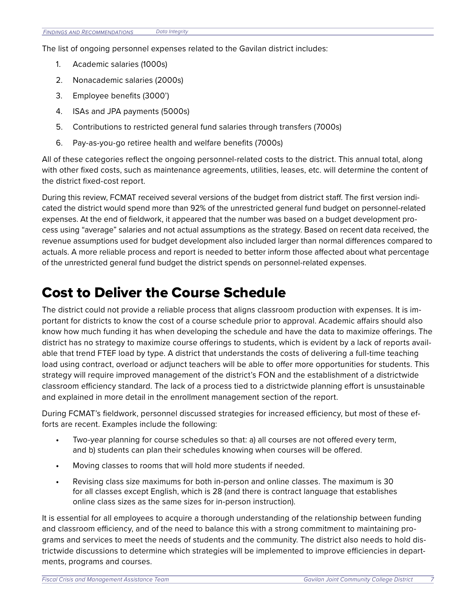The list of ongoing personnel expenses related to the Gavilan district includes:

- 1. Academic salaries (1000s)
- 2. Nonacademic salaries (2000s)
- 3. Employee benefits (3000')
- 4. ISAs and JPA payments (5000s)
- 5. Contributions to restricted general fund salaries through transfers (7000s)
- 6. Pay-as-you-go retiree health and welfare benefits (7000s)

All of these categories reflect the ongoing personnel-related costs to the district. This annual total, along with other fixed costs, such as maintenance agreements, utilities, leases, etc. will determine the content of the district fixed-cost report.

During this review, FCMAT received several versions of the budget from district staff. The first version indicated the district would spend more than 92% of the unrestricted general fund budget on personnel-related expenses. At the end of fieldwork, it appeared that the number was based on a budget development process using "average" salaries and not actual assumptions as the strategy. Based on recent data received, the revenue assumptions used for budget development also included larger than normal differences compared to actuals. A more reliable process and report is needed to better inform those affected about what percentage of the unrestricted general fund budget the district spends on personnel-related expenses.

### Cost to Deliver the Course Schedule

The district could not provide a reliable process that aligns classroom production with expenses. It is important for districts to know the cost of a course schedule prior to approval. Academic affairs should also know how much funding it has when developing the schedule and have the data to maximize offerings. The district has no strategy to maximize course offerings to students, which is evident by a lack of reports available that trend FTEF load by type. A district that understands the costs of delivering a full-time teaching load using contract, overload or adjunct teachers will be able to offer more opportunities for students. This strategy will require improved management of the district's FON and the establishment of a districtwide classroom efficiency standard. The lack of a process tied to a districtwide planning effort is unsustainable and explained in more detail in the enrollment management section of the report.

During FCMAT's fieldwork, personnel discussed strategies for increased efficiency, but most of these efforts are recent. Examples include the following:

- **•** Two-year planning for course schedules so that: a) all courses are not offered every term, and b) students can plan their schedules knowing when courses will be offered.
- **•** Moving classes to rooms that will hold more students if needed.
- **•** Revising class size maximums for both in-person and online classes. The maximum is 30 for all classes except English, which is 28 (and there is contract language that establishes online class sizes as the same sizes for in-person instruction).

It is essential for all employees to acquire a thorough understanding of the relationship between funding and classroom efficiency, and of the need to balance this with a strong commitment to maintaining programs and services to meet the needs of students and the community. The district also needs to hold districtwide discussions to determine which strategies will be implemented to improve efficiencies in departments, programs and courses.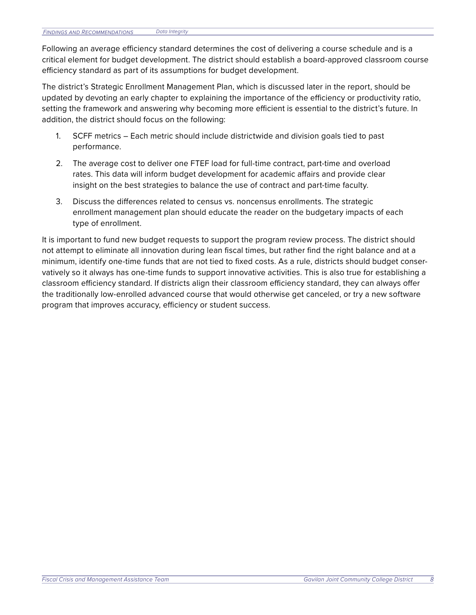Following an average efficiency standard determines the cost of delivering a course schedule and is a critical element for budget development. The district should establish a board-approved classroom course efficiency standard as part of its assumptions for budget development.

The district's Strategic Enrollment Management Plan, which is discussed later in the report, should be updated by devoting an early chapter to explaining the importance of the efficiency or productivity ratio, setting the framework and answering why becoming more efficient is essential to the district's future. In addition, the district should focus on the following:

- 1. SCFF metrics Each metric should include districtwide and division goals tied to past performance.
- 2. The average cost to deliver one FTEF load for full-time contract, part-time and overload rates. This data will inform budget development for academic affairs and provide clear insight on the best strategies to balance the use of contract and part-time faculty.
- 3. Discuss the differences related to census vs. noncensus enrollments. The strategic enrollment management plan should educate the reader on the budgetary impacts of each type of enrollment.

It is important to fund new budget requests to support the program review process. The district should not attempt to eliminate all innovation during lean fiscal times, but rather find the right balance and at a minimum, identify one-time funds that are not tied to fixed costs. As a rule, districts should budget conservatively so it always has one-time funds to support innovative activities. This is also true for establishing a classroom efficiency standard. If districts align their classroom efficiency standard, they can always offer the traditionally low-enrolled advanced course that would otherwise get canceled, or try a new software program that improves accuracy, efficiency or student success.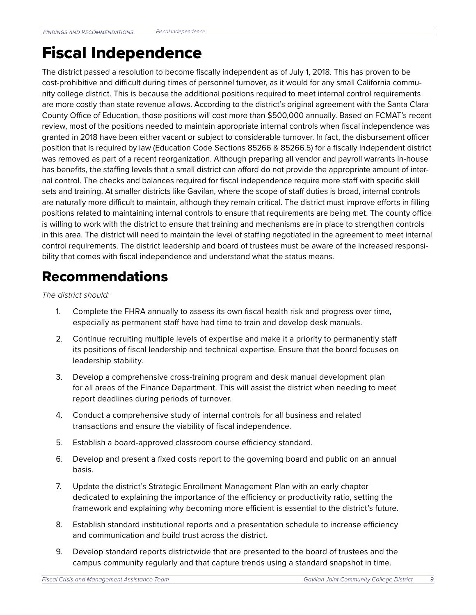## Fiscal Independence

The district passed a resolution to become fiscally independent as of July 1, 2018. This has proven to be cost-prohibitive and difficult during times of personnel turnover, as it would for any small California community college district. This is because the additional positions required to meet internal control requirements are more costly than state revenue allows. According to the district's original agreement with the Santa Clara County Office of Education, those positions will cost more than \$500,000 annually. Based on FCMAT's recent review, most of the positions needed to maintain appropriate internal controls when fiscal independence was granted in 2018 have been either vacant or subject to considerable turnover. In fact, the disbursement officer position that is required by law (Education Code Sections 85266 & 85266.5) for a fiscally independent district was removed as part of a recent reorganization. Although preparing all vendor and payroll warrants in-house has benefits, the staffing levels that a small district can afford do not provide the appropriate amount of internal control. The checks and balances required for fiscal independence require more staff with specific skill sets and training. At smaller districts like Gavilan, where the scope of staff duties is broad, internal controls are naturally more difficult to maintain, although they remain critical. The district must improve efforts in filling positions related to maintaining internal controls to ensure that requirements are being met. The county office is willing to work with the district to ensure that training and mechanisms are in place to strengthen controls in this area. The district will need to maintain the level of staffing negotiated in the agreement to meet internal control requirements. The district leadership and board of trustees must be aware of the increased responsibility that comes with fiscal independence and understand what the status means.

### Recommendations

*The district should:*

- 1. Complete the FHRA annually to assess its own fiscal health risk and progress over time, especially as permanent staff have had time to train and develop desk manuals.
- 2. Continue recruiting multiple levels of expertise and make it a priority to permanently staff its positions of fiscal leadership and technical expertise. Ensure that the board focuses on leadership stability.
- 3. Develop a comprehensive cross-training program and desk manual development plan for all areas of the Finance Department. This will assist the district when needing to meet report deadlines during periods of turnover.
- 4. Conduct a comprehensive study of internal controls for all business and related transactions and ensure the viability of fiscal independence.
- 5. Establish a board-approved classroom course efficiency standard.
- 6. Develop and present a fixed costs report to the governing board and public on an annual basis.
- 7. Update the district's Strategic Enrollment Management Plan with an early chapter dedicated to explaining the importance of the efficiency or productivity ratio, setting the framework and explaining why becoming more efficient is essential to the district's future.
- 8. Establish standard institutional reports and a presentation schedule to increase efficiency and communication and build trust across the district.
- 9. Develop standard reports districtwide that are presented to the board of trustees and the campus community regularly and that capture trends using a standard snapshot in time.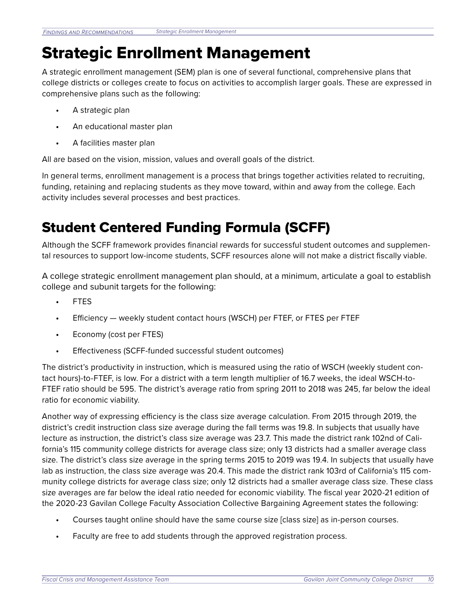## Strategic Enrollment Management

A strategic enrollment management (SEM) plan is one of several functional, comprehensive plans that college districts or colleges create to focus on activities to accomplish larger goals. These are expressed in comprehensive plans such as the following:

- **•** A strategic plan
- **•** An educational master plan
- **•** A facilities master plan

All are based on the vision, mission, values and overall goals of the district.

In general terms, enrollment management is a process that brings together activities related to recruiting, funding, retaining and replacing students as they move toward, within and away from the college. Each activity includes several processes and best practices.

### Student Centered Funding Formula (SCFF)

Although the SCFF framework provides financial rewards for successful student outcomes and supplemental resources to support low-income students, SCFF resources alone will not make a district fiscally viable.

A college strategic enrollment management plan should, at a minimum, articulate a goal to establish college and subunit targets for the following:

- **•** FTES
- **•** Efficiency weekly student contact hours (WSCH) per FTEF, or FTES per FTEF
- **•** Economy (cost per FTES)
- **•** Effectiveness (SCFF-funded successful student outcomes)

The district's productivity in instruction, which is measured using the ratio of WSCH (weekly student contact hours)-to-FTEF, is low. For a district with a term length multiplier of 16.7 weeks, the ideal WSCH-to-FTEF ratio should be 595. The district's average ratio from spring 2011 to 2018 was 245, far below the ideal ratio for economic viability.

Another way of expressing efficiency is the class size average calculation. From 2015 through 2019, the district's credit instruction class size average during the fall terms was 19.8. In subjects that usually have lecture as instruction, the district's class size average was 23.7. This made the district rank 102nd of California's 115 community college districts for average class size; only 13 districts had a smaller average class size. The district's class size average in the spring terms 2015 to 2019 was 19.4. In subjects that usually have lab as instruction, the class size average was 20.4. This made the district rank 103rd of California's 115 community college districts for average class size; only 12 districts had a smaller average class size. These class size averages are far below the ideal ratio needed for economic viability. The fiscal year 2020-21 edition of the 2020-23 Gavilan College Faculty Association Collective Bargaining Agreement states the following:

- **•** Courses taught online should have the same course size [class size] as in-person courses.
- **•** Faculty are free to add students through the approved registration process.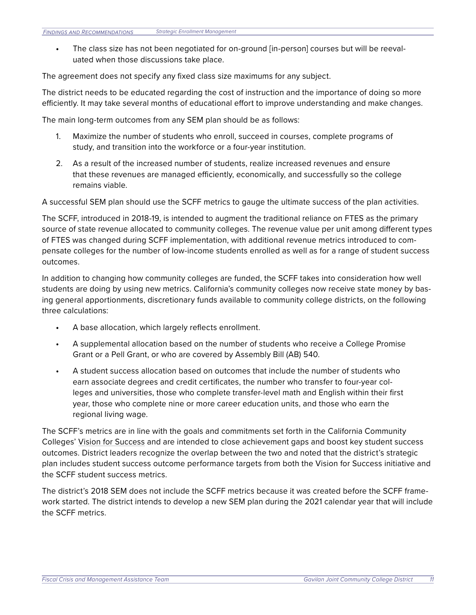**•** The class size has not been negotiated for on-ground [in-person] courses but will be reevaluated when those discussions take place.

The agreement does not specify any fixed class size maximums for any subject.

The district needs to be educated regarding the cost of instruction and the importance of doing so more efficiently. It may take several months of educational effort to improve understanding and make changes.

The main long-term outcomes from any SEM plan should be as follows:

- 1. Maximize the number of students who enroll, succeed in courses, complete programs of study, and transition into the workforce or a four-year institution.
- 2. As a result of the increased number of students, realize increased revenues and ensure that these revenues are managed efficiently, economically, and successfully so the college remains viable.

A successful SEM plan should use the SCFF metrics to gauge the ultimate success of the plan activities.

The SCFF, introduced in 2018-19, is intended to augment the traditional reliance on FTES as the primary source of state revenue allocated to community colleges. The revenue value per unit among different types of FTES was changed during SCFF implementation, with additional revenue metrics introduced to compensate colleges for the number of low-income students enrolled as well as for a range of student success outcomes.

In addition to changing how community colleges are funded, the SCFF takes into consideration how well students are doing by using new metrics. California's community colleges now receive state money by basing general apportionments, discretionary funds available to community college districts, on the following three calculations:

- **•** A base allocation, which largely reflects enrollment.
- **•** A supplemental allocation based on the number of students who receive a College Promise Grant or a Pell Grant, or who are covered by Assembly Bill (AB) 540.
- **•** A student success allocation based on outcomes that include the number of students who earn associate degrees and credit certificates, the number who transfer to four-year colleges and universities, those who complete transfer-level math and English within their first year, those who complete nine or more career education units, and those who earn the regional living wage.

The SCFF's metrics are in line with the goals and commitments set forth in the California Community Colleges' [Vision for Success](https://vision.foundationccc.org/) and are intended to close achievement gaps and boost key student success outcomes. District leaders recognize the overlap between the two and noted that the district's strategic plan includes student success outcome performance targets from both the Vision for Success initiative and the SCFF student success metrics.

The district's 2018 SEM does not include the SCFF metrics because it was created before the SCFF framework started. The district intends to develop a new SEM plan during the 2021 calendar year that will include the SCFF metrics.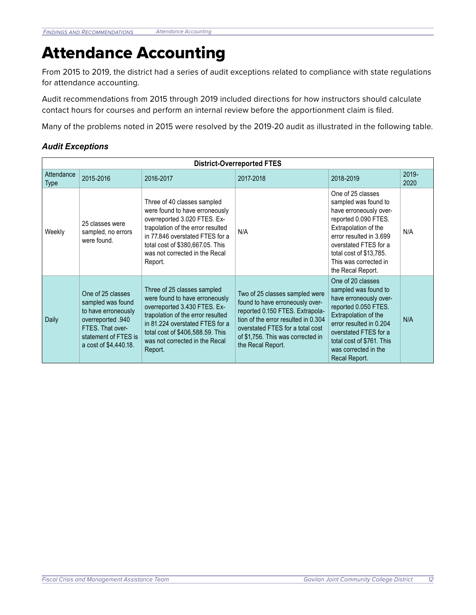## Attendance Accounting

From 2015 to 2019, the district had a series of audit exceptions related to compliance with state regulations for attendance accounting.

Audit recommendations from 2015 through 2019 included directions for how instructors should calculate contact hours for courses and perform an internal review before the apportionment claim is filed.

Many of the problems noted in 2015 were resolved by the 2019-20 audit as illustrated in the following table.

#### *Audit Exceptions*

| <b>District-Overreported FTES</b> |                                                                                                                                                         |                                                                                                                                                                                                                                                        |                                                                                                                                                                                                                                           |                                                                                                                                                                                                                                                  |               |  |  |  |
|-----------------------------------|---------------------------------------------------------------------------------------------------------------------------------------------------------|--------------------------------------------------------------------------------------------------------------------------------------------------------------------------------------------------------------------------------------------------------|-------------------------------------------------------------------------------------------------------------------------------------------------------------------------------------------------------------------------------------------|--------------------------------------------------------------------------------------------------------------------------------------------------------------------------------------------------------------------------------------------------|---------------|--|--|--|
| Attendance<br><b>Type</b>         | 2015-2016                                                                                                                                               | 2016-2017                                                                                                                                                                                                                                              | 2017-2018                                                                                                                                                                                                                                 | 2018-2019                                                                                                                                                                                                                                        | 2019-<br>2020 |  |  |  |
| Weekly                            | 25 classes were<br>sampled, no errors<br>were found.                                                                                                    | Three of 40 classes sampled<br>were found to have erroneously<br>overreported 3.020 FTES. Ex-<br>trapolation of the error resulted<br>in 77.846 overstated FTES for a<br>total cost of \$380,667.05. This<br>was not corrected in the Recal<br>Report. | N/A                                                                                                                                                                                                                                       | One of 25 classes<br>sampled was found to<br>have erroneously over-<br>reported 0.090 FTES.<br>Extrapolation of the<br>error resulted in 3.699<br>overstated FTES for a<br>total cost of \$13,785.<br>This was corrected in<br>the Recal Report. | N/A           |  |  |  |
| Daily                             | One of 25 classes<br>sampled was found<br>to have erroneously<br>overreported .940<br>FTES. That over-<br>statement of FTES is<br>a cost of \$4,440.18. | Three of 25 classes sampled<br>were found to have erroneously<br>overreported 3.430 FTES. Ex-<br>trapolation of the error resulted<br>in 81.224 overstated FTES for a<br>total cost of \$406,588.59. This<br>was not corrected in the Recal<br>Report. | Two of 25 classes sampled were<br>found to have erroneously over-<br>reported 0.150 FTES. Extrapola-<br>tion of the error resulted in 0.304<br>overstated FTES for a total cost<br>of \$1,756. This was corrected in<br>the Recal Report. | One of 20 classes<br>sampled was found to<br>have erroneously over-<br>reported 0.050 FTES.<br>Extrapolation of the<br>error resulted in 0.204<br>overstated FTES for a<br>total cost of \$761. This<br>was corrected in the<br>Recal Report.    | N/A           |  |  |  |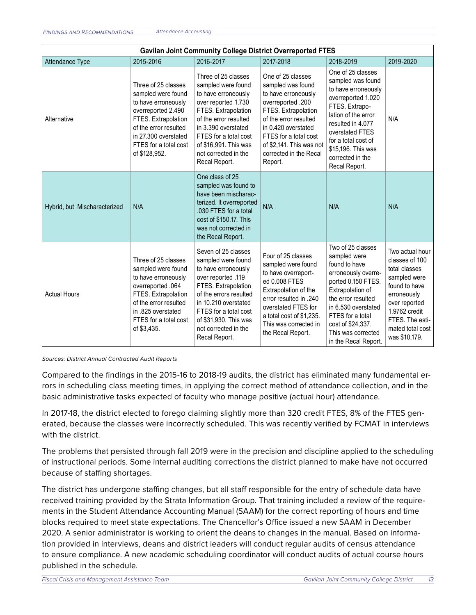| <b>Gavilan Joint Community College District Overreported FTES</b> |                                                                                                                                                                                                          |                                                                                                                                                                                                                                                            |                                                                                                                                                                                                                                                     |                                                                                                                                                                                                                                                         |                                                                                                                                                                                              |  |  |  |
|-------------------------------------------------------------------|----------------------------------------------------------------------------------------------------------------------------------------------------------------------------------------------------------|------------------------------------------------------------------------------------------------------------------------------------------------------------------------------------------------------------------------------------------------------------|-----------------------------------------------------------------------------------------------------------------------------------------------------------------------------------------------------------------------------------------------------|---------------------------------------------------------------------------------------------------------------------------------------------------------------------------------------------------------------------------------------------------------|----------------------------------------------------------------------------------------------------------------------------------------------------------------------------------------------|--|--|--|
| Attendance Type                                                   | 2015-2016                                                                                                                                                                                                | 2016-2017                                                                                                                                                                                                                                                  | 2017-2018                                                                                                                                                                                                                                           | 2018-2019                                                                                                                                                                                                                                               | 2019-2020                                                                                                                                                                                    |  |  |  |
| Alternative                                                       | Three of 25 classes<br>sampled were found<br>to have erroneously<br>overreported 2.490<br>FTES. Extrapolation<br>of the error resulted<br>in 27.300 overstated<br>FTES for a total cost<br>of \$128,952. | Three of 25 classes<br>sampled were found<br>to have erroneously<br>over reported 1.730<br>FTES. Extrapolation<br>of the error resulted<br>in 3.390 overstated<br>FTES for a total cost<br>of \$16,991. This was<br>not corrected in the<br>Recal Report.  | One of 25 classes<br>sampled was found<br>to have erroneously<br>overreported .200<br>FTES. Extrapolation<br>of the error resulted<br>in 0.420 overstated<br>FTES for a total cost<br>of \$2,141. This was not<br>corrected in the Recal<br>Report. | One of 25 classes<br>sampled was found<br>to have erroneously<br>overreported 1.020<br>FTES. Extrapo-<br>lation of the error<br>resulted in 4.077<br>overstated FTES<br>for a total cost of<br>\$15,196. This was<br>corrected in the<br>Recal Report.  | N/A                                                                                                                                                                                          |  |  |  |
| Hybrid, but Mischaracterized                                      | N/A                                                                                                                                                                                                      | One class of 25<br>sampled was found to<br>have been mischarac-<br>terized. It overreported<br>.030 FTES for a total<br>cost of \$150.17. This<br>was not corrected in<br>the Recal Report.                                                                | N/A                                                                                                                                                                                                                                                 | N/A                                                                                                                                                                                                                                                     | N/A                                                                                                                                                                                          |  |  |  |
| <b>Actual Hours</b>                                               | Three of 25 classes<br>sampled were found<br>to have erroneously<br>overreported .064<br>FTES. Extrapolation<br>of the error resulted<br>in .825 overstated<br>FTES for a total cost<br>of \$3,435.      | Seven of 25 classes<br>sampled were found<br>to have erroneously<br>over reported .119<br>FTES. Extrapolation<br>of the errors resulted<br>in 10.210 overstated<br>FTES for a total cost<br>of \$31,930. This was<br>not corrected in the<br>Recal Report. | Four of 25 classes<br>sampled were found<br>to have overreport-<br>ed 0.008 FTES<br>Extrapolation of the<br>error resulted in .240<br>overstated FTES for<br>a total cost of \$1,235.<br>This was corrected in<br>the Recal Report.                 | Two of 25 classes<br>sampled were<br>found to have<br>erroneously overre-<br>ported 0.150 FTES.<br>Extrapolation of<br>the error resulted<br>in 6.530 overstated<br>FTES for a total<br>cost of \$24,337.<br>This was corrected<br>in the Recal Report. | Two actual hour<br>classes of 100<br>total classes<br>sampled were<br>found to have<br>erroneously<br>over reported<br>1.9762 credit<br>FTES. The esti-<br>mated total cost<br>was \$10,179. |  |  |  |

*Sources: District Annual Contracted Audit Reports*

Compared to the findings in the 2015-16 to 2018-19 audits, the district has eliminated many fundamental errors in scheduling class meeting times, in applying the correct method of attendance collection, and in the basic administrative tasks expected of faculty who manage positive (actual hour) attendance.

In 2017-18, the district elected to forego claiming slightly more than 320 credit FTES, 8% of the FTES generated, because the classes were incorrectly scheduled. This was recently verified by FCMAT in interviews with the district.

The problems that persisted through fall 2019 were in the precision and discipline applied to the scheduling of instructional periods. Some internal auditing corrections the district planned to make have not occurred because of staffing shortages.

The district has undergone staffing changes, but all staff responsible for the entry of schedule data have received training provided by the Strata Information Group. That training included a review of the requirements in the Student Attendance Accounting Manual (SAAM) for the correct reporting of hours and time blocks required to meet state expectations. The Chancellor's Office issued a new SAAM in December 2020. A senior administrator is working to orient the deans to changes in the manual. Based on information provided in interviews, deans and district leaders will conduct regular audits of census attendance to ensure compliance. A new academic scheduling coordinator will conduct audits of actual course hours published in the schedule.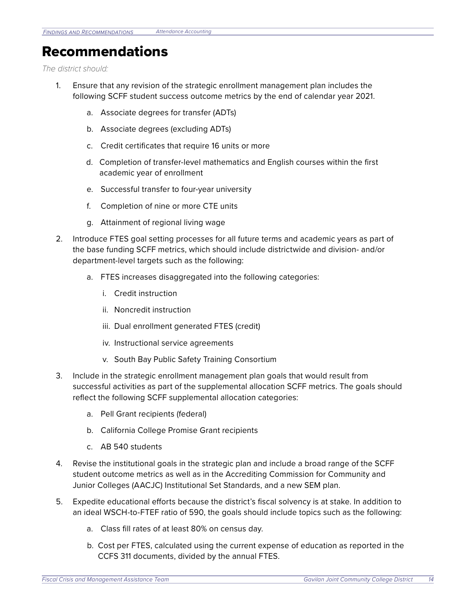### Recommendations

*The district should:*

- 1. Ensure that any revision of the strategic enrollment management plan includes the following SCFF student success outcome metrics by the end of calendar year 2021.
	- a. Associate degrees for transfer (ADTs)
	- b. Associate degrees (excluding ADTs)
	- c. Credit certificates that require 16 units or more
	- d. Completion of transfer-level mathematics and English courses within the first academic year of enrollment
	- e. Successful transfer to four-year university
	- f. Completion of nine or more CTE units
	- g. Attainment of regional living wage
- 2. Introduce FTES goal setting processes for all future terms and academic years as part of the base funding SCFF metrics, which should include districtwide and division- and/or department-level targets such as the following:
	- a. FTES increases disaggregated into the following categories:
		- i. Credit instruction
		- ii. Noncredit instruction
		- iii. Dual enrollment generated FTES (credit)
		- iv. Instructional service agreements
		- v. South Bay Public Safety Training Consortium
- 3. Include in the strategic enrollment management plan goals that would result from successful activities as part of the supplemental allocation SCFF metrics. The goals should reflect the following SCFF supplemental allocation categories:
	- a. Pell Grant recipients (federal)
	- b. California College Promise Grant recipients
	- c. AB 540 students
- 4. Revise the institutional goals in the strategic plan and include a broad range of the SCFF student outcome metrics as well as in the Accrediting Commission for Community and Junior Colleges (AACJC) Institutional Set Standards, and a new SEM plan.
- 5. Expedite educational efforts because the district's fiscal solvency is at stake. In addition to an ideal WSCH-to-FTEF ratio of 590, the goals should include topics such as the following:
	- a. Class fill rates of at least 80% on census day.
	- b. Cost per FTES, calculated using the current expense of education as reported in the CCFS 311 documents, divided by the annual FTES.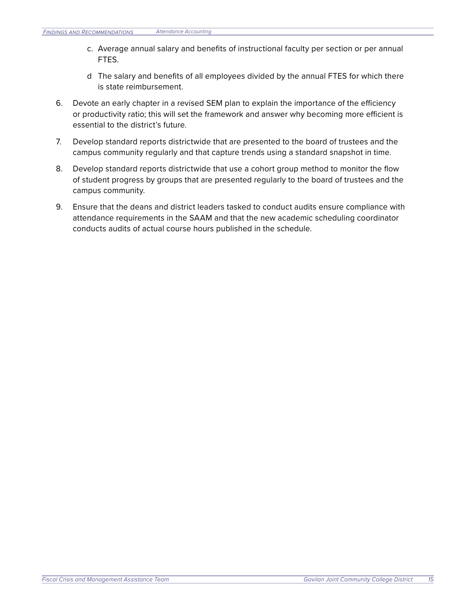- c. Average annual salary and benefits of instructional faculty per section or per annual FTES.
- d The salary and benefits of all employees divided by the annual FTES for which there is state reimbursement.
- 6. Devote an early chapter in a revised SEM plan to explain the importance of the efficiency or productivity ratio; this will set the framework and answer why becoming more efficient is essential to the district's future.
- 7. Develop standard reports districtwide that are presented to the board of trustees and the campus community regularly and that capture trends using a standard snapshot in time.
- 8. Develop standard reports districtwide that use a cohort group method to monitor the flow of student progress by groups that are presented regularly to the board of trustees and the campus community.
- 9. Ensure that the deans and district leaders tasked to conduct audits ensure compliance with attendance requirements in the SAAM and that the new academic scheduling coordinator conducts audits of actual course hours published in the schedule.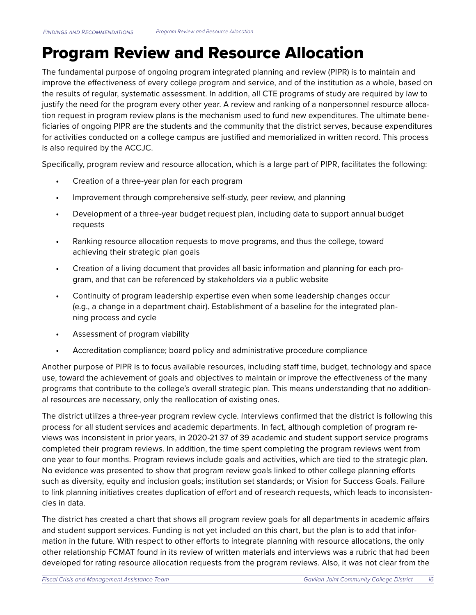## Program Review and Resource Allocation

The fundamental purpose of ongoing program integrated planning and review (PIPR) is to maintain and improve the effectiveness of every college program and service, and of the institution as a whole, based on the results of regular, systematic assessment. In addition, all CTE programs of study are required by law to justify the need for the program every other year. A review and ranking of a nonpersonnel resource allocation request in program review plans is the mechanism used to fund new expenditures. The ultimate beneficiaries of ongoing PIPR are the students and the community that the district serves, because expenditures for activities conducted on a college campus are justified and memorialized in written record. This process is also required by the ACCJC.

Specifically, program review and resource allocation, which is a large part of PIPR, facilitates the following:

- **•** Creation of a three-year plan for each program
- **•** Improvement through comprehensive self-study, peer review, and planning
- **•** Development of a three-year budget request plan, including data to support annual budget requests
- **•** Ranking resource allocation requests to move programs, and thus the college, toward achieving their strategic plan goals
- **•** Creation of a living document that provides all basic information and planning for each program, and that can be referenced by stakeholders via a public website
- **•** Continuity of program leadership expertise even when some leadership changes occur (e.g., a change in a department chair). Establishment of a baseline for the integrated planning process and cycle
- **•** Assessment of program viability
- **•** Accreditation compliance; board policy and administrative procedure compliance

Another purpose of PIPR is to focus available resources, including staff time, budget, technology and space use, toward the achievement of goals and objectives to maintain or improve the effectiveness of the many programs that contribute to the college's overall strategic plan. This means understanding that no additional resources are necessary, only the reallocation of existing ones.

The district utilizes a three-year program review cycle. Interviews confirmed that the district is following this process for all student services and academic departments. In fact, although completion of program reviews was inconsistent in prior years, in 2020-21 37 of 39 academic and student support service programs completed their program reviews. In addition, the time spent completing the program reviews went from one year to four months. Program reviews include goals and activities, which are tied to the strategic plan. No evidence was presented to show that program review goals linked to other college planning efforts such as diversity, equity and inclusion goals; institution set standards; or Vision for Success Goals. Failure to link planning initiatives creates duplication of effort and of research requests, which leads to inconsistencies in data.

The district has created a chart that shows all program review goals for all departments in academic affairs and student support services. Funding is not yet included on this chart, but the plan is to add that information in the future. With respect to other efforts to integrate planning with resource allocations, the only other relationship FCMAT found in its review of written materials and interviews was a rubric that had been developed for rating resource allocation requests from the program reviews. Also, it was not clear from the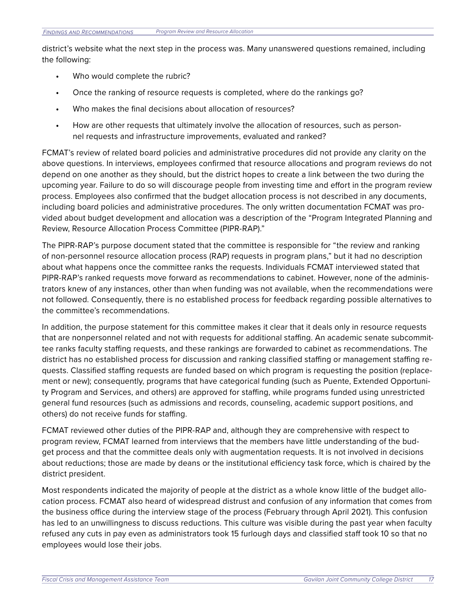district's website what the next step in the process was. Many unanswered questions remained, including the following:

- **•** Who would complete the rubric?
- **•** Once the ranking of resource requests is completed, where do the rankings go?
- **•** Who makes the final decisions about allocation of resources?
- **•** How are other requests that ultimately involve the allocation of resources, such as personnel requests and infrastructure improvements, evaluated and ranked?

FCMAT's review of related board policies and administrative procedures did not provide any clarity on the above questions. In interviews, employees confirmed that resource allocations and program reviews do not depend on one another as they should, but the district hopes to create a link between the two during the upcoming year. Failure to do so will discourage people from investing time and effort in the program review process. Employees also confirmed that the budget allocation process is not described in any documents, including board policies and administrative procedures. The only written documentation FCMAT was provided about budget development and allocation was a description of the "Program Integrated Planning and Review, Resource Allocation Process Committee (PIPR-RAP)."

The PIPR-RAP's purpose document stated that the committee is responsible for "the review and ranking of non-personnel resource allocation process (RAP) requests in program plans," but it had no description about what happens once the committee ranks the requests. Individuals FCMAT interviewed stated that PIPR-RAP's ranked requests move forward as recommendations to cabinet. However, none of the administrators knew of any instances, other than when funding was not available, when the recommendations were not followed. Consequently, there is no established process for feedback regarding possible alternatives to the committee's recommendations.

In addition, the purpose statement for this committee makes it clear that it deals only in resource requests that are nonpersonnel related and not with requests for additional staffing. An academic senate subcommittee ranks faculty staffing requests, and these rankings are forwarded to cabinet as recommendations. The district has no established process for discussion and ranking classified staffing or management staffing requests. Classified staffing requests are funded based on which program is requesting the position (replacement or new); consequently, programs that have categorical funding (such as Puente, Extended Opportunity Program and Services, and others) are approved for staffing, while programs funded using unrestricted general fund resources (such as admissions and records, counseling, academic support positions, and others) do not receive funds for staffing.

FCMAT reviewed other duties of the PIPR-RAP and, although they are comprehensive with respect to program review, FCMAT learned from interviews that the members have little understanding of the budget process and that the committee deals only with augmentation requests. It is not involved in decisions about reductions; those are made by deans or the institutional efficiency task force, which is chaired by the district president.

Most respondents indicated the majority of people at the district as a whole know little of the budget allocation process. FCMAT also heard of widespread distrust and confusion of any information that comes from the business office during the interview stage of the process (February through April 2021). This confusion has led to an unwillingness to discuss reductions. This culture was visible during the past year when faculty refused any cuts in pay even as administrators took 15 furlough days and classified staff took 10 so that no employees would lose their jobs.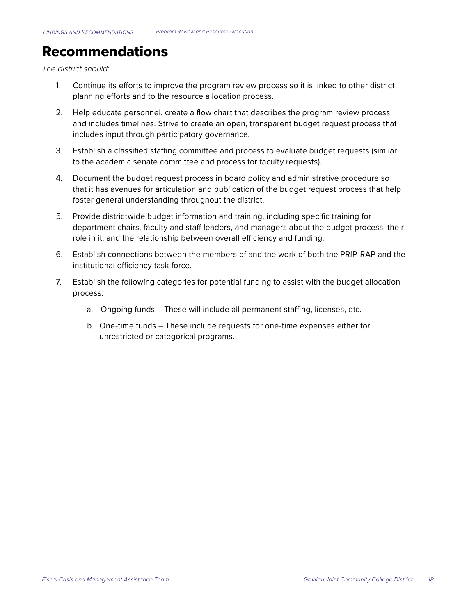### Recommendations

*The district should:*

- 1. Continue its efforts to improve the program review process so it is linked to other district planning efforts and to the resource allocation process.
- 2. Help educate personnel, create a flow chart that describes the program review process and includes timelines. Strive to create an open, transparent budget request process that includes input through participatory governance.
- 3. Establish a classified staffing committee and process to evaluate budget requests (similar to the academic senate committee and process for faculty requests).
- 4. Document the budget request process in board policy and administrative procedure so that it has avenues for articulation and publication of the budget request process that help foster general understanding throughout the district.
- 5. Provide districtwide budget information and training, including specific training for department chairs, faculty and staff leaders, and managers about the budget process, their role in it, and the relationship between overall efficiency and funding.
- 6. Establish connections between the members of and the work of both the PRIP-RAP and the institutional efficiency task force.
- 7. Establish the following categories for potential funding to assist with the budget allocation process:
	- a. Ongoing funds These will include all permanent staffing, licenses, etc.
	- b. One-time funds These include requests for one-time expenses either for unrestricted or categorical programs.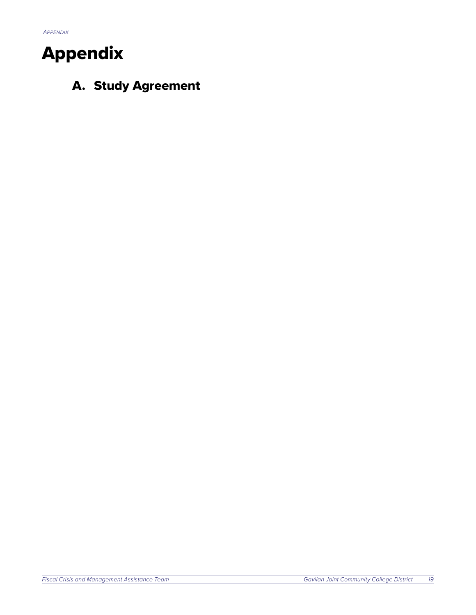## Appendix

A. Study Agreement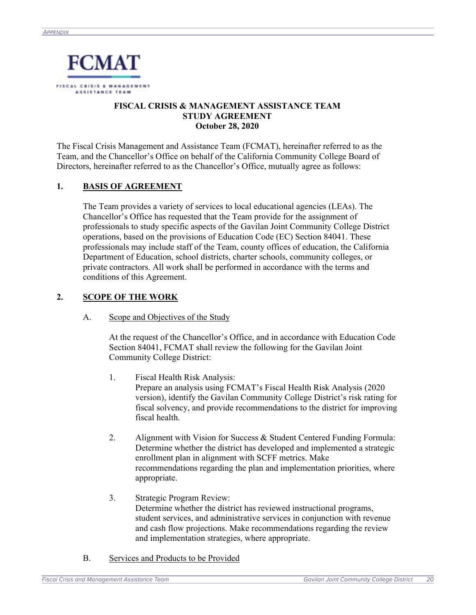

#### **FISCAL CRISIS & MANAGEMENT ASSISTANCE TEAM STUDY AGREEMENT October 28, 2020**

The Fiscal Crisis Management and Assistance Team (FCMAT), hereinafter referred to as the Team, and the Chancellor's Office on behalf of the California Community College Board of Directors, hereinafter referred to as the Chancellor's Office, mutually agree as follows:

#### **1. BASIS OF AGREEMENT**

The Team provides a variety of services to local educational agencies (LEAs). The Chancellor's Office has requested that the Team provide for the assignment of professionals to study specific aspects of the Gavilan Joint Community College District operations, based on the provisions of Education Code (EC) Section 84041. These professionals may include staff of the Team, county offices of education, the California Department of Education, school districts, charter schools, community colleges, or private contractors. All work shall be performed in accordance with the terms and conditions of this Agreement.

#### **2. SCOPE OF THE WORK**

A. Scope and Objectives of the Study

At the request of the Chancellor's Office, and in accordance with Education Code Section 84041, FCMAT shall review the following for the Gavilan Joint Community College District:

- 1. Fiscal Health Risk Analysis: Prepare an analysis using FCMAT's Fiscal Health Risk Analysis (2020 version), identify the Gavilan Community College District's risk rating for fiscal solvency, and provide recommendations to the district for improving fiscal health.
- 2. Alignment with Vision for Success & Student Centered Funding Formula: Determine whether the district has developed and implemented a strategic enrollment plan in alignment with SCFF metrics. Make recommendations regarding the plan and implementation priorities, where appropriate.
- 3. Strategic Program Review: Determine whether the district has reviewed instructional programs, student services, and administrative services in conjunction with revenue and cash flow projections. Make recommendations regarding the review and implementation strategies, where appropriate.

 $\overline{1}$ 

B. Services and Products to be Provided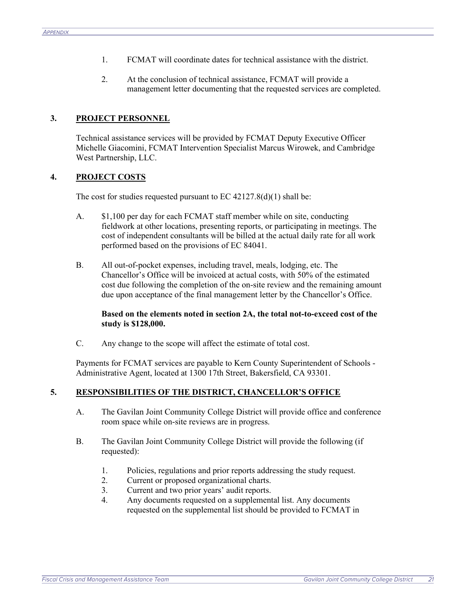- 1. FCMAT will coordinate dates for technical assistance with the district.
- 2. At the conclusion of technical assistance, FCMAT will provide a management letter documenting that the requested services are completed.

#### **3. PROJECT PERSONNEL**

Technical assistance services will be provided by FCMAT Deputy Executive Officer Michelle Giacomini, FCMAT Intervention Specialist Marcus Wirowek, and Cambridge West Partnership, LLC.

#### **4. PROJECT COSTS**

The cost for studies requested pursuant to  $EC 42127.8(d)(1)$  shall be:

- A. \$1,100 per day for each FCMAT staff member while on site, conducting fieldwork at other locations, presenting reports, or participating in meetings. The cost of independent consultants will be billed at the actual daily rate for all work performed based on the provisions of EC 84041.
- B. All out-of-pocket expenses, including travel, meals, lodging, etc. The Chancellor's Office will be invoiced at actual costs, with 50% of the estimated cost due following the completion of the on-site review and the remaining amount due upon acceptance of the final management letter by the Chancellor's Office.

#### **Based on the elements noted in section 2A, the total not-to-exceed cost of the study is \$128,000.**

C. Any change to the scope will affect the estimate of total cost.

Payments for FCMAT services are payable to Kern County Superintendent of Schools - Administrative Agent, located at 1300 17th Street, Bakersfield, CA 93301.

#### **5. RESPONSIBILITIES OF THE DISTRICT, CHANCELLOR'S OFFICE**

- A. The Gavilan Joint Community College District will provide office and conference room space while on-site reviews are in progress.
- B. The Gavilan Joint Community College District will provide the following (if requested):
	- 1. Policies, regulations and prior reports addressing the study request.
	- 2. Current or proposed organizational charts.
	- 3. Current and two prior years' audit reports.
	- 4. Any documents requested on a supplemental list. Any documents requested on the supplemental list should be provided to FCMAT in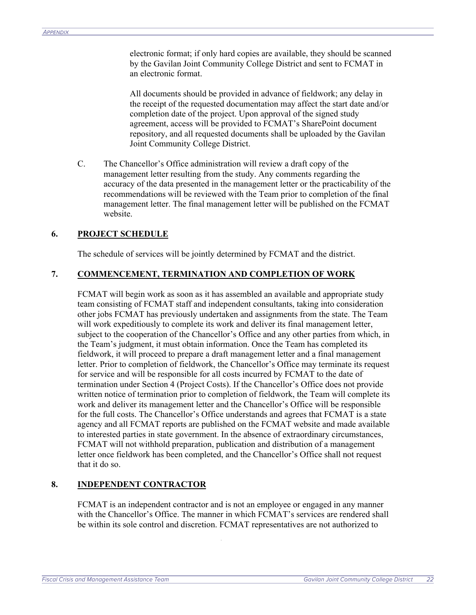electronic format; if only hard copies are available, they should be scanned by the Gavilan Joint Community College District and sent to FCMAT in an electronic format.

All documents should be provided in advance of fieldwork; any delay in the receipt of the requested documentation may affect the start date and/or completion date of the project. Upon approval of the signed study agreement, access will be provided to FCMAT's SharePoint document repository, and all requested documents shall be uploaded by the Gavilan Joint Community College District.

C. The Chancellor's Office administration will review a draft copy of the management letter resulting from the study. Any comments regarding the accuracy of the data presented in the management letter or the practicability of the recommendations will be reviewed with the Team prior to completion of the final management letter. The final management letter will be published on the FCMAT website.

#### **6. PROJECT SCHEDULE**

The schedule of services will be jointly determined by FCMAT and the district.

#### **7. COMMENCEMENT, TERMINATION AND COMPLETION OF WORK**

FCMAT will begin work as soon as it has assembled an available and appropriate study team consisting of FCMAT staff and independent consultants, taking into consideration other jobs FCMAT has previously undertaken and assignments from the state. The Team will work expeditiously to complete its work and deliver its final management letter, subject to the cooperation of the Chancellor's Office and any other parties from which, in the Team's judgment, it must obtain information. Once the Team has completed its fieldwork, it will proceed to prepare a draft management letter and a final management letter. Prior to completion of fieldwork, the Chancellor's Office may terminate its request for service and will be responsible for all costs incurred by FCMAT to the date of termination under Section 4 (Project Costs). If the Chancellor's Office does not provide written notice of termination prior to completion of fieldwork, the Team will complete its work and deliver its management letter and the Chancellor's Office will be responsible for the full costs. The Chancellor's Office understands and agrees that FCMAT is a state agency and all FCMAT reports are published on the FCMAT website and made available to interested parties in state government. In the absence of extraordinary circumstances, FCMAT will not withhold preparation, publication and distribution of a management letter once fieldwork has been completed, and the Chancellor's Office shall not request that it do so.

#### **8. INDEPENDENT CONTRACTOR**

FCMAT is an independent contractor and is not an employee or engaged in any manner with the Chancellor's Office. The manner in which FCMAT's services are rendered shall be within its sole control and discretion. FCMAT representatives are not authorized to

3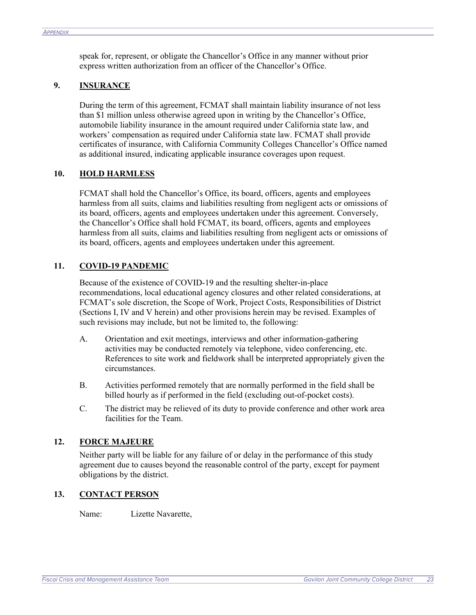speak for, represent, or obligate the Chancellor's Office in any manner without prior express written authorization from an officer of the Chancellor's Office.

#### **9. INSURANCE**

During the term of this agreement, FCMAT shall maintain liability insurance of not less than \$1 million unless otherwise agreed upon in writing by the Chancellor's Office, automobile liability insurance in the amount required under California state law, and workers' compensation as required under California state law. FCMAT shall provide certificates of insurance, with California Community Colleges Chancellor's Office named as additional insured, indicating applicable insurance coverages upon request.

#### **10. HOLD HARMLESS**

FCMAT shall hold the Chancellor's Office, its board, officers, agents and employees harmless from all suits, claims and liabilities resulting from negligent acts or omissions of its board, officers, agents and employees undertaken under this agreement. Conversely, the Chancellor's Office shall hold FCMAT, its board, officers, agents and employees harmless from all suits, claims and liabilities resulting from negligent acts or omissions of its board, officers, agents and employees undertaken under this agreement.

#### **11. COVID-19 PANDEMIC**

Because of the existence of COVID-19 and the resulting shelter-in-place recommendations, local educational agency closures and other related considerations, at FCMAT's sole discretion, the Scope of Work, Project Costs, Responsibilities of District (Sections I, IV and V herein) and other provisions herein may be revised. Examples of such revisions may include, but not be limited to, the following:

- A. Orientation and exit meetings, interviews and other information-gathering activities may be conducted remotely via telephone, video conferencing, etc. References to site work and fieldwork shall be interpreted appropriately given the circumstances.
- B. Activities performed remotely that are normally performed in the field shall be billed hourly as if performed in the field (excluding out-of-pocket costs).
- C. The district may be relieved of its duty to provide conference and other work area facilities for the Team.

#### **12. FORCE MAJEURE**

Neither party will be liable for any failure of or delay in the performance of this study agreement due to causes beyond the reasonable control of the party, except for payment obligations by the district.

#### **13. CONTACT PERSON**

Name: Lizette Navarette,